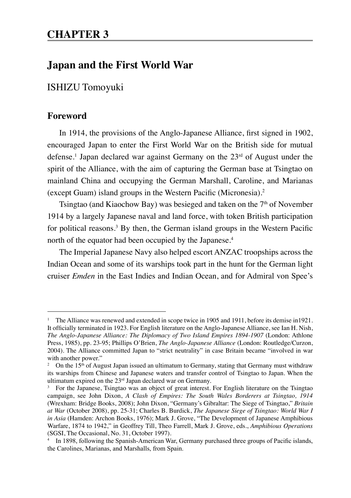# **Japan and the First World War**

ISHIZU Tomoyuki

# **Foreword**

In 1914, the provisions of the Anglo-Japanese Alliance, first signed in 1902, encouraged Japan to enter the First World War on the British side for mutual defense.<sup>1</sup> Japan declared war against Germany on the 23rd of August under the spirit of the Alliance, with the aim of capturing the German base at Tsingtao on mainland China and occupying the German Marshall, Caroline, and Marianas (except Guam) island groups in the Western Pacific (Micronesia).2

Tsingtao (and Kiaochow Bay) was besieged and taken on the  $7<sup>th</sup>$  of November 1914 by a largely Japanese naval and land force, with token British participation for political reasons.<sup>3</sup> By then, the German island groups in the Western Pacific north of the equator had been occupied by the Japanese.<sup>4</sup>

The Imperial Japanese Navy also helped escort ANZAC troopships across the Indian Ocean and some of its warships took part in the hunt for the German light cruiser *Emden* in the East Indies and Indian Ocean, and for Admiral von Spee's

<sup>&</sup>lt;sup>1</sup> The Alliance was renewed and extended in scope twice in 1905 and 1911, before its demise in 1921. It officially terminated in 1923. For English literature on the Anglo-Japanese Alliance, see Ian H. Nish, *The Anglo-Japanese Alliance: The Diplomacy of Two Island Empires 1894-1907* (London: Athlone Press, 1985), pp. 23-95; Phillips O'Brien, *The Anglo-Japanese Alliance* (London: Routledge/Curzon, 2004). The Alliance committed Japan to "strict neutrality" in case Britain became "involved in war with another power."

<sup>&</sup>lt;sup>2</sup> On the 15<sup>th</sup> of August Japan issued an ultimatum to Germany, stating that Germany must withdraw its warships from Chinese and Japanese waters and transfer control of Tsingtao to Japan. When the ultimatum expired on the  $23<sup>rd</sup>$  Japan declared war on Germany.

For the Japanese. Tsingtao was an object of great interest. For English literature on the Tsingtao campaign, see John Dixon, *A Clash of Empires: The South Wales Borderers at Tsingtao, 1914* (Wrexham: Bridge Books, 2008); John Dixon, "Germany's Gibraltar: The Siege of Tsingtao," *Britain at War* (October 2008), pp. 25-31; Charles B. Burdick, *The Japanese Siege of Tsingtao: World War I in Asia* (Hamden: Archon Books, 1976); Mark J. Grove, "The Development of Japanese Amphibious Warfare, 1874 to 1942," in Geoffrey Till, Theo Farrell, Mark J. Grove, eds., *Amphibious Operations* (SGSI, The Occasional, No. 31, October 1997).

<sup>4</sup> In 1898, following the Spanish-American War, Germany purchased three groups of Pacific islands, the Carolines, Marianas, and Marshalls, from Spain.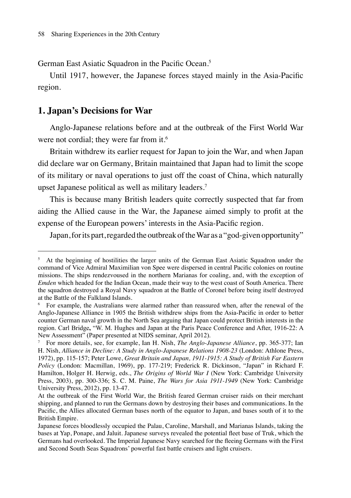German East Asiatic Squadron in the Pacific Ocean.<sup>5</sup>

Until 1917, however, the Japanese forces stayed mainly in the Asia-Pacific region.

## **1. Japan's Decisions for War**

Anglo-Japanese relations before and at the outbreak of the First World War were not cordial; they were far from it.<sup>6</sup>

Britain withdrew its earlier request for Japan to join the War, and when Japan did declare war on Germany, Britain maintained that Japan had to limit the scope of its military or naval operations to just off the coast of China, which naturally upset Japanese political as well as military leaders.7

This is because many British leaders quite correctly suspected that far from aiding the Allied cause in the War, the Japanese aimed simply to profit at the expense of the European powers' interests in the Asia-Pacific region.

Japan, for its part, regarded the outbreak of the War as a "god-given opportunity"

<sup>&</sup>lt;sup>5</sup> At the beginning of hostilities the larger units of the German East Asiatic Squadron under the command of Vice Admiral Maximilian von Spee were dispersed in central Pacific colonies on routine missions. The ships rendezvoused in the northern Marianas for coaling, and, with the exception of *Emden* which headed for the Indian Ocean, made their way to the west coast of South America. There the squadron destroyed a Royal Navy squadron at the Battle of Coronel before being itself destroyed at the Battle of the Falkland Islands.

<sup>6</sup> For example, the Australians were alarmed rather than reassured when, after the renewal of the Anglo-Japanese Alliance in 1905 the British withdrew ships from the Asia-Pacific in order to better counter German naval growth in the North Sea arguing that Japan could protect British interests in the region. Carl Bridge**,** "W. M. Hughes and Japan at the Paris Peace Conference and After, 1916-22: A New Assessment" (Paper presented at NIDS seminar, April 2012).

<sup>7</sup> For more details, see, for example, Ian H. Nish, *The Anglo-Japanese Alliance*, pp. 365-377; Ian H. Nish, *Alliance in Decline: A Study in Anglo-Japanese Relations 1908-23* (London: Athlone Press, 1972), pp. 115-157; Peter Lowe, *Great Britain and Japan, 1911-1915: A Study of British Far Eastern Policy* (London: Macmillan, 1969), pp. 177-219; Frederick R. Dickinson, "Japan" in Richard F. Hamilton, Holger H. Herwig, eds., *The Origins of World War Ⅰ* (New York: Cambridge University Press, 2003), pp. 300-336; S. C. M. Paine, *The Wars for Asia 1911-1949* (New York: Cambridge University Press, 2012), pp. 13-47.

At the outbreak of the First World War, the British feared German cruiser raids on their merchant shipping, and planned to run the Germans down by destroying their bases and communications. In the Pacific, the Allies allocated German bases north of the equator to Japan, and bases south of it to the British Empire.

Japanese forces bloodlessly occupied the Palau, Caroline, Marshall, and Marianas Islands, taking the bases at Yap, Ponape, and Jaluit. Japanese surveys revealed the potential fleet base of Truk, which the Germans had overlooked. The Imperial Japanese Navy searched for the fleeing Germans with the First and Second South Seas Squadrons' powerful fast battle cruisers and light cruisers.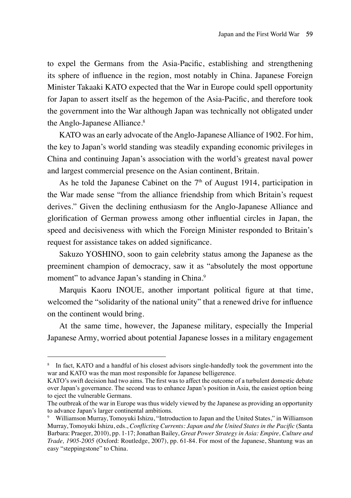to expel the Germans from the Asia-Pacific, establishing and strengthening its sphere of influence in the region, most notably in China. Japanese Foreign Minister Takaaki KATO expected that the War in Europe could spell opportunity for Japan to assert itself as the hegemon of the Asia-Pacific, and therefore took the government into the War although Japan was technically not obligated under the Anglo-Japanese Alliance.<sup>8</sup>

KATO was an early advocate of the Anglo-Japanese Alliance of 1902. For him, the key to Japan's world standing was steadily expanding economic privileges in China and continuing Japan's association with the world's greatest naval power and largest commercial presence on the Asian continent, Britain.

As he told the Japanese Cabinet on the  $7<sup>th</sup>$  of August 1914, participation in the War made sense "from the alliance friendship from which Britain's request derives." Given the declining enthusiasm for the Anglo-Japanese Alliance and glorification of German prowess among other influential circles in Japan, the speed and decisiveness with which the Foreign Minister responded to Britain's request for assistance takes on added significance.

Sakuzo YOSHINO, soon to gain celebrity status among the Japanese as the preeminent champion of democracy, saw it as "absolutely the most opportune moment" to advance Japan's standing in China.<sup>9</sup>

Marquis Kaoru INOUE, another important political figure at that time, welcomed the "solidarity of the national unity" that a renewed drive for influence on the continent would bring.

At the same time, however, the Japanese military, especially the Imperial Japanese Army, worried about potential Japanese losses in a military engagement

<sup>8</sup> In fact, KATO and a handful of his closest advisors single-handedly took the government into the war and KATO was the man most responsible for Japanese belligerence.

KATO's swift decision had two aims. The first was to affect the outcome of a turbulent domestic debate over Japan's governance. The second was to enhance Japan's position in Asia, the easiest option being to eject the vulnerable Germans.

The outbreak of the war in Europe was thus widely viewed by the Japanese as providing an opportunity to advance Japan's larger continental ambitions.

<sup>9</sup> Williamson Murray, Tomoyuki Ishizu, "Introduction to Japan and the United States," in Williamson Murray, Tomoyuki Ishizu, eds., *Conflicting Currents: Japan and the United States in the Pacific* (Santa Barbara: Praeger, 2010), pp. 1-17; Jonathan Bailey, *Great Power Strategy in Asia: Empire, Culture and Trade, 1905-2005* (Oxford: Routledge, 2007), pp. 61-84. For most of the Japanese, Shantung was an easy "steppingstone" to China.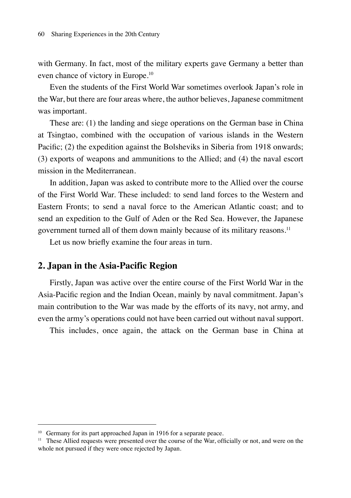with Germany. In fact, most of the military experts gave Germany a better than even chance of victory in Europe.10

Even the students of the First World War sometimes overlook Japan's role in the War, but there are four areas where, the author believes, Japanese commitment was important.

These are: (1) the landing and siege operations on the German base in China at Tsingtao, combined with the occupation of various islands in the Western Pacific; (2) the expedition against the Bolsheviks in Siberia from 1918 onwards; (3) exports of weapons and ammunitions to the Allied; and (4) the naval escort mission in the Mediterranean.

In addition, Japan was asked to contribute more to the Allied over the course of the First World War. These included: to send land forces to the Western and Eastern Fronts; to send a naval force to the American Atlantic coast; and to send an expedition to the Gulf of Aden or the Red Sea. However, the Japanese government turned all of them down mainly because of its military reasons.<sup>11</sup>

Let us now briefly examine the four areas in turn.

# **2. Japan in the Asia-Pacific Region**

Firstly, Japan was active over the entire course of the First World War in the Asia-Pacific region and the Indian Ocean, mainly by naval commitment. Japan's main contribution to the War was made by the efforts of its navy, not army, and even the army's operations could not have been carried out without naval support.

This includes, once again, the attack on the German base in China at

<sup>&</sup>lt;sup>10</sup> Germany for its part approached Japan in 1916 for a separate peace.

<sup>&</sup>lt;sup>11</sup> These Allied requests were presented over the course of the War, officially or not, and were on the whole not pursued if they were once rejected by Japan.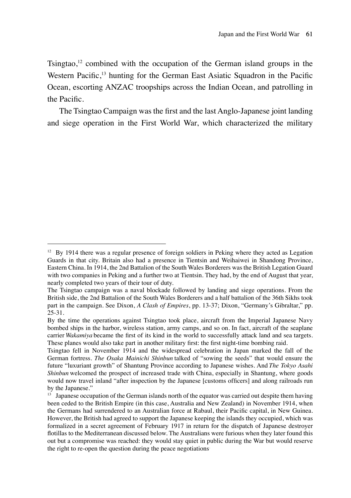Tsingtao, $12$  combined with the occupation of the German island groups in the Western Pacific,<sup>13</sup> hunting for the German East Asiatic Squadron in the Pacific Ocean, escorting ANZAC troopships across the Indian Ocean, and patrolling in the Pacific.

The Tsingtao Campaign was the first and the last Anglo-Japanese joint landing and siege operation in the First World War, which characterized the military

<sup>&</sup>lt;sup>12</sup> By 1914 there was a regular presence of foreign soldiers in Peking where they acted as Legation Guards in that city. Britain also had a presence in Tientsin and Weihaiwei in Shandong Province, Eastern China. In 1914, the 2nd Battalion of the South Wales Borderers was the British Legation Guard with two companies in Peking and a further two at Tientsin. They had, by the end of August that year, nearly completed two years of their tour of duty.

The Tsingtao campaign was a naval blockade followed by landing and siege operations. From the British side, the 2nd Battalion of the South Wales Borderers and a half battalion of the 36th Sikhs took part in the campaign. See Dixon, *A Clash of Empires*, pp. 13-37; Dixon, "Germany's Gibraltar," pp. 25-31.

By the time the operations against Tsingtao took place, aircraft from the Imperial Japanese Navy bombed ships in the harbor, wireless station, army camps, and so on. In fact, aircraft of the seaplane carrier *Wakamiya* became the first of its kind in the world to successfully attack land and sea targets. These planes would also take part in another military first: the first night-time bombing raid.

Tsingtao fell in November 1914 and the widespread celebration in Japan marked the fall of the German fortress. *The Osaka Mainichi Shinbun* talked of "sowing the seeds" that would ensure the future "luxuriant growth" of Shantung Province according to Japanese wishes. And *The Tokyo Asahi Shinbun* welcomed the prospect of increased trade with China, especially in Shantung, where goods would now travel inland "after inspection by the Japanese [customs officers] and along railroads run by the Japanese."

 $13$  Japanese occupation of the German islands north of the equator was carried out despite them having been ceded to the British Empire (in this case, Australia and New Zealand) in November 1914, when the Germans had surrendered to an Australian force at Rabaul, their Pacific capital, in New Guinea. However, the British had agreed to support the Japanese keeping the islands they occupied, which was formalized in a secret agreement of February 1917 in return for the dispatch of Japanese destroyer flotillas to the Mediterranean discussed below. The Australians were furious when they later found this out but a compromise was reached: they would stay quiet in public during the War but would reserve the right to re-open the question during the peace negotiations.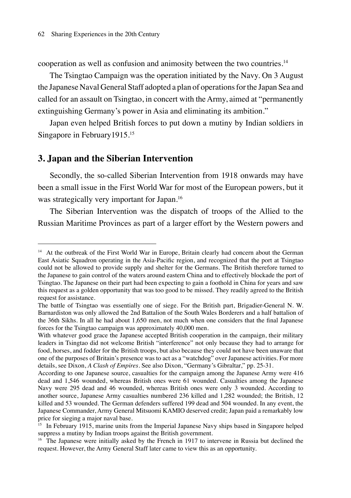cooperation as well as confusion and animosity between the two countries.<sup>14</sup>

The Tsingtao Campaign was the operation initiated by the Navy. On 3 August the Japanese Naval General Staff adopted a plan of operations for the Japan Sea and called for an assault on Tsingtao, in concert with the Army, aimed at "permanently extinguishing Germany's power in Asia and eliminating its ambition."

Japan even helped British forces to put down a mutiny by Indian soldiers in Singapore in February1915.15

#### **3. Japan and the Siberian Intervention**

Secondly, the so-called Siberian Intervention from 1918 onwards may have been a small issue in the First World War for most of the European powers, but it was strategically very important for Japan.<sup>16</sup>

The Siberian Intervention was the dispatch of troops of the Allied to the Russian Maritime Provinces as part of a larger effort by the Western powers and

<sup>&</sup>lt;sup>14</sup> At the outbreak of the First World War in Europe, Britain clearly had concern about the German East Asiatic Squadron operating in the Asia-Pacific region, and recognized that the port at Tsingtao could not be allowed to provide supply and shelter for the Germans. The British therefore turned to the Japanese to gain control of the waters around eastern China and to effectively blockade the port of Tsingtao. The Japanese on their part had been expecting to gain a foothold in China for years and saw this request as a golden opportunity that was too good to be missed. They readily agreed to the British request for assistance.

The battle of Tsingtao was essentially one of siege. For the British part, Brigadier-General N. W. Barnardiston was only allowed the 2nd Battalion of the South Wales Borderers and a half battalion of the 36th Sikhs. In all he had about 1,650 men, not much when one considers that the final Japanese forces for the Tsingtao campaign was approximately 40,000 men.

With whatever good grace the Japanese accepted British cooperation in the campaign, their military leaders in Tsingtao did not welcome British "interference" not only because they had to arrange for food, horses, and fodder for the British troops, but also because they could not have been unaware that one of the purposes of Britain's presence was to act as a "watchdog" over Japanese activities. For more details, see Dixon, *A Clash of Empires*. See also Dixon, "Germany's Gibraltar," pp. 25-31.

According to one Japanese source, casualties for the campaign among the Japanese Army were 416 dead and 1,546 wounded, whereas British ones were 61 wounded. Casualties among the Japanese Navy were 295 dead and 46 wounded, whereas British ones were only 3 wounded. According to another source, Japanese Army casualties numbered 236 killed and 1,282 wounded; the British, 12 killed and 53 wounded. The German defenders suffered 199 dead and 504 wounded. In any event, the Japanese Commander, Army General Mitsuomi KAMIO deserved credit; Japan paid a remarkably low price for sieging a major naval base.

<sup>&</sup>lt;sup>15</sup> In February 1915, marine units from the Imperial Japanese Navy ships based in Singapore helped suppress a mutiny by Indian troops against the British government.

<sup>&</sup>lt;sup>16</sup> The Japanese were initially asked by the French in 1917 to intervene in Russia but declined the request. However, the Army General Staff later came to view this as an opportunity.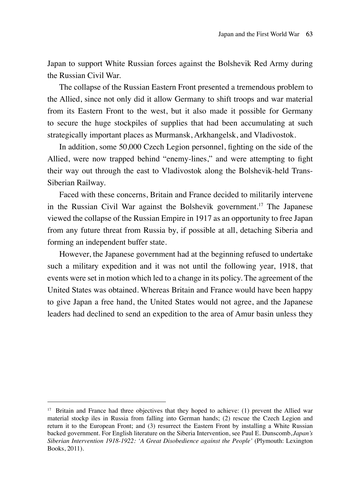Japan to support White Russian forces against the Bolshevik Red Army during the Russian Civil War.

The collapse of the Russian Eastern Front presented a tremendous problem to the Allied, since not only did it allow Germany to shift troops and war material from its Eastern Front to the west, but it also made it possible for Germany to secure the huge stockpiles of supplies that had been accumulating at such strategically important places as Murmansk, Arkhangelsk, and Vladivostok.

In addition, some 50,000 Czech Legion personnel, fighting on the side of the Allied, were now trapped behind "enemy-lines," and were attempting to fight their way out through the east to Vladivostok along the Bolshevik-held Trans-Siberian Railway.

Faced with these concerns, Britain and France decided to militarily intervene in the Russian Civil War against the Bolshevik government.17 The Japanese viewed the collapse of the Russian Empire in 1917 as an opportunity to free Japan from any future threat from Russia by, if possible at all, detaching Siberia and forming an independent buffer state.

However, the Japanese government had at the beginning refused to undertake such a military expedition and it was not until the following year, 1918, that events were set in motion which led to a change in its policy. The agreement of the United States was obtained. Whereas Britain and France would have been happy to give Japan a free hand, the United States would not agree, and the Japanese leaders had declined to send an expedition to the area of Amur basin unless they

<sup>&</sup>lt;sup>17</sup> Britain and France had three objectives that they hoped to achieve: (1) prevent the Allied war material stockp iles in Russia from falling into German hands; (2) rescue the Czech Legion and return it to the European Front; and (3) resurrect the Eastern Front by installing a White Russian backed government. For English literature on the Siberia Intervention, see Paul E. Dunscomb, *Japan's Siberian Intervention 1918-1922: 'A Great Disobedience against the People'* (Plymouth: Lexington Books, 2011).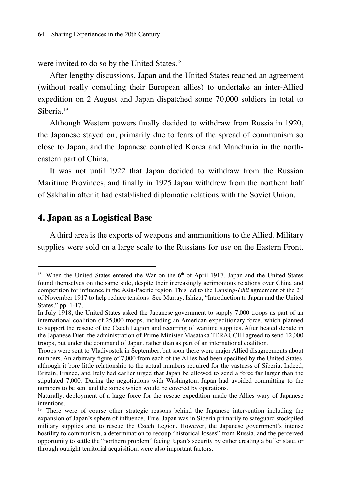were invited to do so by the United States.<sup>18</sup>

After lengthy discussions, Japan and the United States reached an agreement (without really consulting their European allies) to undertake an inter-Allied expedition on 2 August and Japan dispatched some 70,000 soldiers in total to Siberia<sup>19</sup>

Although Western powers finally decided to withdraw from Russia in 1920, the Japanese stayed on, primarily due to fears of the spread of communism so close to Japan, and the Japanese controlled Korea and Manchuria in the northeastern part of China.

It was not until 1922 that Japan decided to withdraw from the Russian Maritime Provinces, and finally in 1925 Japan withdrew from the northern half of Sakhalin after it had established diplomatic relations with the Soviet Union.

# **4. Japan as a Logistical Base**

A third area is the exports of weapons and ammunitions to the Allied. Military supplies were sold on a large scale to the Russians for use on the Eastern Front.

<sup>&</sup>lt;sup>18</sup> When the United States entered the War on the  $6<sup>th</sup>$  of April 1917, Japan and the United States found themselves on the same side, despite their increasingly acrimonious relations over China and competition for influence in the Asia-Pacific region. This led to the Lansing-*Ishii* agreement of the 2nd of November 1917 to help reduce tensions. See Murray, Ishizu, "Introduction to Japan and the United States," pp. 1-17.

In July 1918, the United States asked the Japanese government to supply 7,000 troops as part of an international coalition of 25,000 troops, including an American expeditionary force, which planned to support the rescue of the Czech Legion and recurring of wartime supplies. After heated debate in the Japanese Diet, the administration of Prime Minister Masataka TERAUCHI agreed to send 12,000 troops, but under the command of Japan, rather than as part of an international coalition.

Troops were sent to Vladivostok in September, but soon there were major Allied disagreements about numbers. An arbitrary figure of 7,000 from each of the Allies had been specified by the United States, although it bore little relationship to the actual numbers required for the vastness of Siberia. Indeed, Britain, France, and Italy had earlier urged that Japan be allowed to send a force far larger than the stipulated 7,000. During the negotiations with Washington, Japan had avoided committing to the numbers to be sent and the zones which would be covered by operations.

Naturally, deployment of a large force for the rescue expedition made the Allies wary of Japanese intentions.

<sup>&</sup>lt;sup>19</sup> There were of course other strategic reasons behind the Japanese intervention including the expansion of Japan's sphere of influence. True, Japan was in Siberia primarily to safeguard stockpiled military supplies and to rescue the Czech Legion. However, the Japanese government's intense hostility to communism, a determination to recoup "historical losses" from Russia, and the perceived opportunity to settle the "northern problem" facing Japan's security by either creating a buffer state, or through outright territorial acquisition, were also important factors.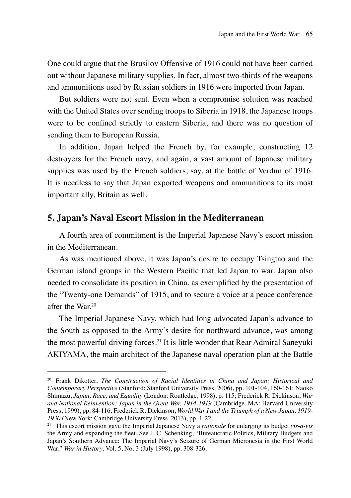One could argue that the Brusilov Offensive of 1916 could not have been carried out without Japanese military supplies. In fact, almost two-thirds of the weapons and ammunitions used by Russian soldiers in 1916 were imported from Japan.

But soldiers were not sent. Even when a compromise solution was reached with the United States over sending troops to Siberia in 1918, the Japanese troops were to be confined strictly to eastern Siberia, and there was no question of sending them to European Russia.

In addition, Japan helped the French by, for example, constructing 12 destroyers for the French navy, and again, a vast amount of Japanese military supplies was used by the French soldiers, say, at the battle of Verdun of 1916. It is needless to say that Japan exported weapons and ammunitions to its most important ally, Britain as well.

## **5. Japan's Naval Escort Mission in the Mediterranean**

A fourth area of commitment is the Imperial Japanese Navy's escort mission in the Mediterranean.

As was mentioned above, it was Japan's desire to occupy Tsingtao and the German island groups in the Western Pacific that led Japan to war. Japan also needed to consolidate its position in China, as exemplified by the presentation of the "Twenty-one Demands" of 1915, and to secure a voice at a peace conference after the War $20$ 

The Imperial Japanese Navy, which had long advocated Japan's advance to the South as opposed to the Army's desire for northward advance, was among the most powerful driving forces.21 It is little wonder that Rear Admiral Saneyuki AKIYAMA, the main architect of the Japanese naval operation plan at the Battle

<sup>20</sup> Frank Dikotter, *The Construction of Racial Identities in China and Japan: Historical and Contemporary Perspective* (Stanford: Stanford University Press, 2006), pp. 101-104, 160-161; Naoko Shimazu, *Japan, Race, and Equality* (London: Routledge, 1998), p. 115; Frederick R. Dickinson, *War and National Reinvention: Japan in the Great War, 1914-1919* (Cambridge, MA: Harvard University Press, 1999), pp. 84-116; Frederick R. Dickinson, *World War I and the Triumph of a New Japan, 1919- 1930* (New York: Cambridge University Press, 2013), pp. 1-22.

<sup>21</sup> This escort mission gave the Imperial Japanese Navy a *rationale* for enlarging its budget *vis-a-vis* the Army and expanding the fleet. See J. C. Schenking, "Bureaucratic Politics, Military Budgets and Japan's Southern Advance: The Imperial Navy's Seizure of German Micronesia in the First World War," *War in History*, Vol. 5, No. 3 (July 1998), pp. 308-326.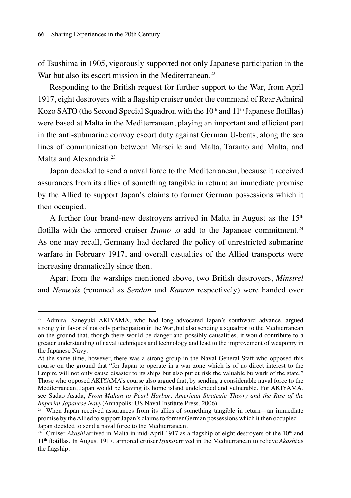of Tsushima in 1905, vigorously supported not only Japanese participation in the War but also its escort mission in the Mediterranean.<sup>22</sup>

Responding to the British request for further support to the War, from April 1917, eight destroyers with a flagship cruiser under the command of Rear Admiral Kozo SATO (the Second Special Squadron with the  $10<sup>th</sup>$  and  $11<sup>th</sup>$  Japanese flotillas) were based at Malta in the Mediterranean, playing an important and efficient part in the anti-submarine convoy escort duty against German U-boats, along the sea lines of communication between Marseille and Malta, Taranto and Malta, and Malta and Alexandria.<sup>23</sup>

Japan decided to send a naval force to the Mediterranean, because it received assurances from its allies of something tangible in return: an immediate promise by the Allied to support Japan's claims to former German possessions which it then occupied.

A further four brand-new destroyers arrived in Malta in August as the  $15<sup>th</sup>$ flotilla with the armored cruiser *Izumo* to add to the Japanese commitment.<sup>24</sup> As one may recall, Germany had declared the policy of unrestricted submarine warfare in February 1917, and overall casualties of the Allied transports were increasing dramatically since then.

Apart from the warships mentioned above, two British destroyers, *Minstrel* and *Nemesis* (renamed as *Sendan* and *Kanran* respectively) were handed over

<sup>22</sup> Admiral Saneyuki AKIYAMA, who had long advocated Japan's southward advance, argued strongly in favor of not only participation in the War, but also sending a squadron to the Mediterranean on the ground that, though there would be danger and possibly causalities, it would contribute to a greater understanding of naval techniques and technology and lead to the improvement of weaponry in the Japanese Navy.

At the same time, however, there was a strong group in the Naval General Staff who opposed this course on the ground that "for Japan to operate in a war zone which is of no direct interest to the Empire will not only cause disaster to its ships but also put at risk the valuable bulwark of the state." Those who opposed AKIYAMA's course also argued that, by sending a considerable naval force to the Mediterranean, Japan would be leaving its home island undefended and vulnerable. For AKIYAMA, see Sadao Asada, *From Mahan to Pearl Harbor: American Strategic Theory and the Rise of the Imperial Japanese Navy* (Annapolis: US Naval Institute Press, 2006).

<sup>&</sup>lt;sup>23</sup> When Japan received assurances from its allies of something tangible in return—an immediate promise by the Allied to support Japan's claims to former German possessions which it then occupied— Japan decided to send a naval force to the Mediterranean.

<sup>&</sup>lt;sup>24</sup> Cruiser *Akashi* arrived in Malta in mid-April 1917 as a flagship of eight destroyers of the  $10<sup>th</sup>$  and 11th flotillas. In August 1917, armored cruiser *Izumo* arrived in the Mediterranean to relieve *Akashi* as the flagship.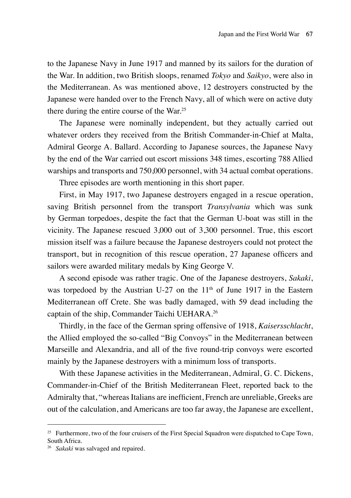to the Japanese Navy in June 1917 and manned by its sailors for the duration of the War. In addition, two British sloops, renamed *Tokyo* and *Saikyo*, were also in the Mediterranean. As was mentioned above, 12 destroyers constructed by the Japanese were handed over to the French Navy, all of which were on active duty there during the entire course of the War.25

The Japanese were nominally independent, but they actually carried out whatever orders they received from the British Commander-in-Chief at Malta, Admiral George A. Ballard. According to Japanese sources, the Japanese Navy by the end of the War carried out escort missions 348 times, escorting 788 Allied warships and transports and 750,000 personnel, with 34 actual combat operations.

Three episodes are worth mentioning in this short paper.

First, in May 1917, two Japanese destroyers engaged in a rescue operation, saving British personnel from the transport *Transylvania* which was sunk by German torpedoes, despite the fact that the German U-boat was still in the vicinity. The Japanese rescued 3,000 out of 3,300 personnel. True, this escort mission itself was a failure because the Japanese destroyers could not protect the transport, but in recognition of this rescue operation, 27 Japanese officers and sailors were awarded military medals by King George V.

A second episode was rather tragic. One of the Japanese destroyers, *Sakaki*, was torpedoed by the Austrian U-27 on the  $11<sup>th</sup>$  of June 1917 in the Eastern Mediterranean off Crete. She was badly damaged, with 59 dead including the captain of the ship, Commander Taichi UEHARA.26

Thirdly, in the face of the German spring offensive of 1918, *Kaisersschlacht*, the Allied employed the so-called "Big Convoys" in the Mediterranean between Marseille and Alexandria, and all of the five round-trip convoys were escorted mainly by the Japanese destroyers with a minimum loss of transports.

With these Japanese activities in the Mediterranean, Admiral, G. C. Dickens, Commander-in-Chief of the British Mediterranean Fleet, reported back to the Admiralty that, "whereas Italians are inefficient, French are unreliable, Greeks are out of the calculation, and Americans are too far away, the Japanese are excellent,

<sup>&</sup>lt;sup>25</sup> Furthermore, two of the four cruisers of the First Special Squadron were dispatched to Cape Town, South Africa.

<sup>26</sup> *Sakaki* was salvaged and repaired.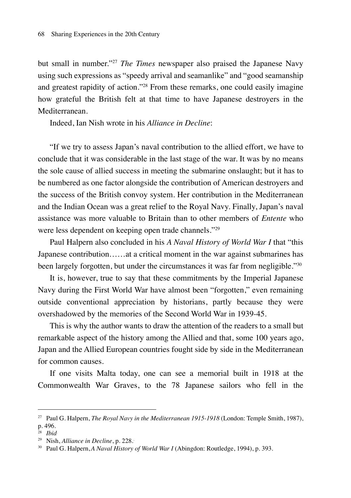but small in number."27 *The Times* newspaper also praised the Japanese Navy using such expressions as "speedy arrival and seamanlike" and "good seamanship and greatest rapidity of action."28 From these remarks, one could easily imagine how grateful the British felt at that time to have Japanese destroyers in the Mediterranean.

Indeed, Ian Nish wrote in his *Alliance in Decline*:

"If we try to assess Japan's naval contribution to the allied effort, we have to conclude that it was considerable in the last stage of the war. It was by no means the sole cause of allied success in meeting the submarine onslaught; but it has to be numbered as one factor alongside the contribution of American destroyers and the success of the British convoy system. Her contribution in the Mediterranean and the Indian Ocean was a great relief to the Royal Navy. Finally, Japan's naval assistance was more valuable to Britain than to other members of *Entente* who were less dependent on keeping open trade channels."29

Paul Halpern also concluded in his *A Naval History of World War I* that "this Japanese contribution……at a critical moment in the war against submarines has been largely forgotten, but under the circumstances it was far from negligible."30

It is, however, true to say that these commitments by the Imperial Japanese Navy during the First World War have almost been "forgotten," even remaining outside conventional appreciation by historians, partly because they were overshadowed by the memories of the Second World War in 1939-45.

This is why the author wants to draw the attention of the readers to a small but remarkable aspect of the history among the Allied and that, some 100 years ago, Japan and the Allied European countries fought side by side in the Mediterranean for common causes.

If one visits Malta today, one can see a memorial built in 1918 at the Commonwealth War Graves, to the 78 Japanese sailors who fell in the

<sup>27</sup> Paul G. Halpern, *The Royal Navy in the Mediterranean 1915-1918* (London: Temple Smith, 1987),

p. 496.

<sup>28</sup> *Ibid*.

<sup>29</sup> Nish, *Alliance in Decline*, p. 228..

<sup>30</sup> Paul G. Halpern,*A Naval History of World War I* (Abingdon: Routledge, 1994), p. 393.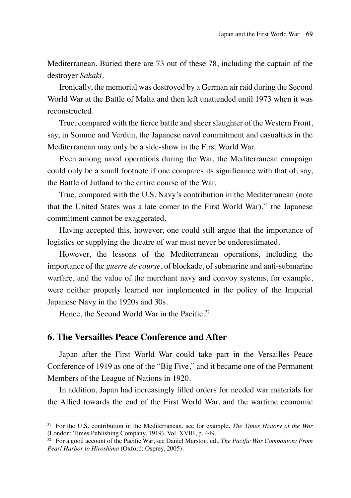Mediterranean. Buried there are 73 out of these 78, including the captain of the destroyer *Sakaki*.

Ironically, the memorial was destroyed by a German air raid during the Second World War at the Battle of Malta and then left unattended until 1973 when it was reconstructed.

True, compared with the fierce battle and sheer slaughter of the Western Front, say, in Somme and Verdun, the Japanese naval commitment and casualties in the Mediterranean may only be a side-show in the First World War.

Even among naval operations during the War, the Mediterranean campaign could only be a small footnote if one compares its significance with that of, say, the Battle of Jutland to the entire course of the War.

True, compared with the U.S. Navy's contribution in the Mediterranean (note that the United States was a late comer to the First World War), $31$  the Japanese commitment cannot be exaggerated.

Having accepted this, however, one could still argue that the importance of logistics or supplying the theatre of war must never be underestimated.

However, the lessons of the Mediterranean operations, including the importance of the *guerre de course*, of blockade, of submarine and anti-submarine warfare, and the value of the merchant navy and convoy systems, for example, were neither properly learned nor implemented in the policy of the Imperial Japanese Navy in the 1920s and 30s.

Hence, the Second World War in the Pacific.<sup>32</sup>

### **6. The Versailles Peace Conference and After**

Japan after the First World War could take part in the Versailles Peace Conference of 1919 as one of the "Big Five," and it became one of the Permanent Members of the League of Nations in 1920.

In addition, Japan had increasingly filled orders for needed war materials for the Allied towards the end of the First World War, and the wartime economic

<sup>31</sup> For the U.S. contribution in the Mediterranean, see for example, *The Times History of the War* (London: Times Publishing Company, 1919), Vol. XVIII, p. 449.

<sup>32</sup> For a good account of the Pacific War, see Daniel Marston, ed., *The Pacific War Companion: From Pearl Harbor to Hiroshima* (Oxford: Osprey, 2005).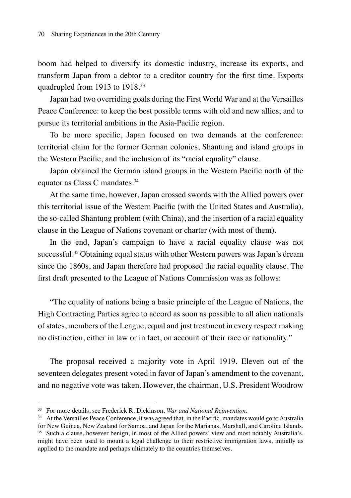boom had helped to diversify its domestic industry, increase its exports, and transform Japan from a debtor to a creditor country for the first time. Exports quadrupled from 1913 to 1918.<sup>33</sup>

Japan had two overriding goals during the First World War and at the Versailles Peace Conference: to keep the best possible terms with old and new allies; and to pursue its territorial ambitions in the Asia-Pacific region.

To be more specific, Japan focused on two demands at the conference: territorial claim for the former German colonies, Shantung and island groups in the Western Pacific; and the inclusion of its "racial equality" clause.

Japan obtained the German island groups in the Western Pacific north of the equator as Class C mandates.34

At the same time, however, Japan crossed swords with the Allied powers over this territorial issue of the Western Pacific (with the United States and Australia), the so-called Shantung problem (with China), and the insertion of a racial equality clause in the League of Nations covenant or charter (with most of them).

In the end, Japan's campaign to have a racial equality clause was not successful.35 Obtaining equal status with other Western powers was Japan's dream since the 1860s, and Japan therefore had proposed the racial equality clause. The first draft presented to the League of Nations Commission was as follows:

"The equality of nations being a basic principle of the League of Nations, the High Contracting Parties agree to accord as soon as possible to all alien nationals of states, members of the League, equal and just treatment in every respect making no distinction, either in law or in fact, on account of their race or nationality."

The proposal received a majority vote in April 1919. Eleven out of the seventeen delegates present voted in favor of Japan's amendment to the covenant, and no negative vote was taken. However, the chairman, U.S. President Woodrow

<sup>33</sup> For more details, see Frederick R. Dickinson, *War and National Reinvention*.

<sup>&</sup>lt;sup>34</sup> At the Versailles Peace Conference, it was agreed that, in the Pacific, mandates would go to Australia for New Guinea, New Zealand for Samoa, and Japan for the Marianas, Marshall, and Caroline Islands. <sup>35</sup> Such a clause, however benign, in most of the Allied powers' view and most notably Australia's, might have been used to mount a legal challenge to their restrictive immigration laws, initially as applied to the mandate and perhaps ultimately to the countries themselves.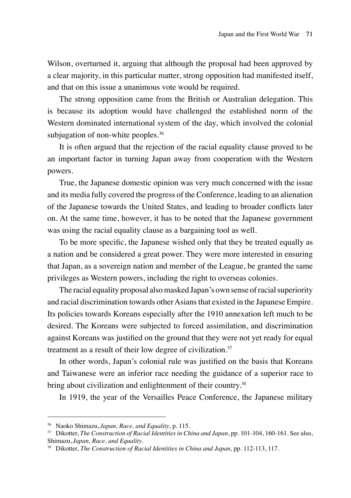Wilson, overturned it, arguing that although the proposal had been approved by a clear majority, in this particular matter, strong opposition had manifested itself, and that on this issue a unanimous vote would be required.

The strong opposition came from the British or Australian delegation. This is because its adoption would have challenged the established norm of the Western dominated international system of the day, which involved the colonial subjugation of non-white peoples.<sup>36</sup>

It is often argued that the rejection of the racial equality clause proved to be an important factor in turning Japan away from cooperation with the Western powers.

True, the Japanese domestic opinion was very much concerned with the issue and its media fully covered the progress of the Conference, leading to an alienation of the Japanese towards the United States, and leading to broader conflicts later on. At the same time, however, it has to be noted that the Japanese government was using the racial equality clause as a bargaining tool as well.

To be more specific, the Japanese wished only that they be treated equally as a nation and be considered a great power. They were more interested in ensuring that Japan, as a sovereign nation and member of the League, be granted the same privileges as Western powers, including the right to overseas colonies.

The racial equality proposal also masked Japan's own sense of racial superiority and racial discrimination towards other Asians that existed in the Japanese Empire. Its policies towards Koreans especially after the 1910 annexation left much to be desired. The Koreans were subjected to forced assimilation, and discrimination against Koreans was justified on the ground that they were not yet ready for equal treatment as a result of their low degree of civilization.<sup>37</sup>

In other words, Japan's colonial rule was justified on the basis that Koreans and Taiwanese were an inferior race needing the guidance of a superior race to bring about civilization and enlightenment of their country.<sup>38</sup>

In 1919, the year of the Versailles Peace Conference, the Japanese military

<sup>36</sup> Naoko Shimazu, *Japan, Race, and Equality*, p. 115.

<sup>37</sup> Dikotter, *The Construction of Racial Identities in China and Japan*, pp. 101-104, 160-161. See also, Shimazu, *Japan, Race, and Equality*.

<sup>38</sup> Dikotter, *The Construction of Racial Identities in China and Japan*, pp. 112-113, 117.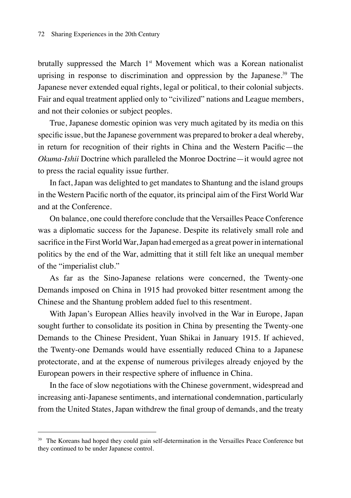brutally suppressed the March 1<sup>st</sup> Movement which was a Korean nationalist uprising in response to discrimination and oppression by the Japanese.39 The Japanese never extended equal rights, legal or political, to their colonial subjects. Fair and equal treatment applied only to "civilized" nations and League members, and not their colonies or subject peoples.

True, Japanese domestic opinion was very much agitated by its media on this specific issue, but the Japanese government was prepared to broker a deal whereby, in return for recognition of their rights in China and the Western Pacific—the *Okuma-Ishii* Doctrine which paralleled the Monroe Doctrine—it would agree not to press the racial equality issue further.

In fact, Japan was delighted to get mandates to Shantung and the island groups in the Western Pacific north of the equator, its principal aim of the First World War and at the Conference.

On balance, one could therefore conclude that the Versailles Peace Conference was a diplomatic success for the Japanese. Despite its relatively small role and sacrifice in the First World War, Japan had emerged as a great power in international politics by the end of the War, admitting that it still felt like an unequal member of the "imperialist club."

As far as the Sino-Japanese relations were concerned, the Twenty-one Demands imposed on China in 1915 had provoked bitter resentment among the Chinese and the Shantung problem added fuel to this resentment.

With Japan's European Allies heavily involved in the War in Europe, Japan sought further to consolidate its position in China by presenting the Twenty-one Demands to the Chinese President, Yuan Shikai in January 1915. If achieved, the Twenty-one Demands would have essentially reduced China to a Japanese protectorate, and at the expense of numerous privileges already enjoyed by the European powers in their respective sphere of influence in China.

In the face of slow negotiations with the Chinese government, widespread and increasing anti-Japanese sentiments, and international condemnation, particularly from the United States, Japan withdrew the final group of demands, and the treaty

<sup>&</sup>lt;sup>39</sup> The Koreans had hoped they could gain self-determination in the Versailles Peace Conference but they continued to be under Japanese control.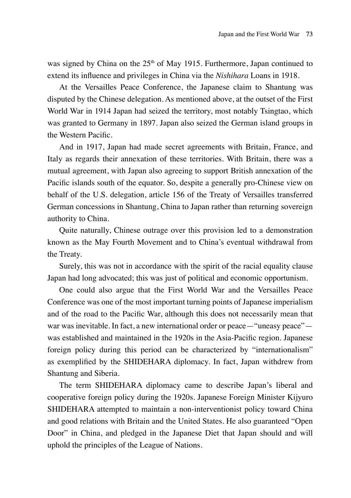was signed by China on the  $25<sup>th</sup>$  of May 1915. Furthermore, Japan continued to extend its influence and privileges in China via the *Nishihara* Loans in 1918.

At the Versailles Peace Conference, the Japanese claim to Shantung was disputed by the Chinese delegation. As mentioned above, at the outset of the First World War in 1914 Japan had seized the territory, most notably Tsingtao, which was granted to Germany in 1897. Japan also seized the German island groups in the Western Pacific.

And in 1917, Japan had made secret agreements with Britain, France, and Italy as regards their annexation of these territories. With Britain, there was a mutual agreement, with Japan also agreeing to support British annexation of the Pacific islands south of the equator. So, despite a generally pro-Chinese view on behalf of the U.S. delegation, article 156 of the Treaty of Versailles transferred German concessions in Shantung, China to Japan rather than returning sovereign authority to China.

Quite naturally, Chinese outrage over this provision led to a demonstration known as the May Fourth Movement and to China's eventual withdrawal from the Treaty.

Surely, this was not in accordance with the spirit of the racial equality clause Japan had long advocated; this was just of political and economic opportunism.

One could also argue that the First World War and the Versailles Peace Conference was one of the most important turning points of Japanese imperialism and of the road to the Pacific War, although this does not necessarily mean that war was inevitable. In fact, a new international order or peace—"uneasy peace" was established and maintained in the 1920s in the Asia-Pacific region. Japanese foreign policy during this period can be characterized by "internationalism" as exemplified by the SHIDEHARA diplomacy. In fact, Japan withdrew from Shantung and Siberia.

The term SHIDEHARA diplomacy came to describe Japan's liberal and cooperative foreign policy during the 1920s. Japanese Foreign Minister Kijyuro SHIDEHARA attempted to maintain a non-interventionist policy toward China and good relations with Britain and the United States. He also guaranteed "Open Door" in China, and pledged in the Japanese Diet that Japan should and will uphold the principles of the League of Nations.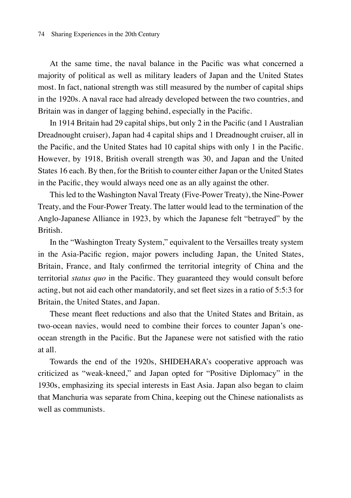At the same time, the naval balance in the Pacific was what concerned a majority of political as well as military leaders of Japan and the United States most. In fact, national strength was still measured by the number of capital ships in the 1920s. A naval race had already developed between the two countries, and Britain was in danger of lagging behind, especially in the Pacific.

In 1914 Britain had 29 capital ships, but only 2 in the Pacific (and 1 Australian Dreadnought cruiser), Japan had 4 capital ships and 1 Dreadnought cruiser, all in the Pacific, and the United States had 10 capital ships with only 1 in the Pacific. However, by 1918, British overall strength was 30, and Japan and the United States 16 each. By then, for the British to counter either Japan or the United States in the Pacific, they would always need one as an ally against the other.

This led to the Washington Naval Treaty (Five-Power Treaty), the Nine-Power Treaty, and the Four-Power Treaty. The latter would lead to the termination of the Anglo-Japanese Alliance in 1923, by which the Japanese felt "betrayed" by the British.

In the "Washington Treaty System," equivalent to the Versailles treaty system in the Asia-Pacific region, major powers including Japan, the United States, Britain, France, and Italy confirmed the territorial integrity of China and the territorial *status quo* in the Pacific. They guaranteed they would consult before acting, but not aid each other mandatorily, and set fleet sizes in a ratio of 5:5:3 for Britain, the United States, and Japan.

These meant fleet reductions and also that the United States and Britain, as two-ocean navies, would need to combine their forces to counter Japan's oneocean strength in the Pacific. But the Japanese were not satisfied with the ratio at all.

Towards the end of the 1920s, SHIDEHARA's cooperative approach was criticized as "weak-kneed," and Japan opted for "Positive Diplomacy" in the 1930s, emphasizing its special interests in East Asia. Japan also began to claim that Manchuria was separate from China, keeping out the Chinese nationalists as well as communists.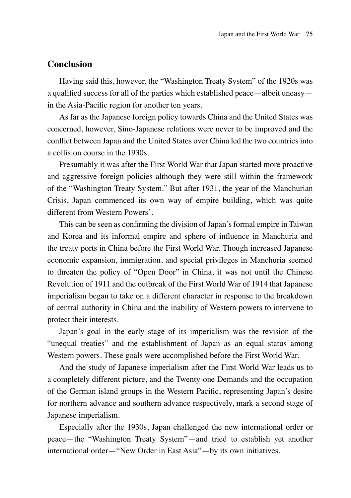## **Conclusion**

Having said this, however, the "Washington Treaty System" of the 1920s was a qualified success for all of the parties which established peace—albeit uneasy in the Asia-Pacific region for another ten years.

As far as the Japanese foreign policy towards China and the United States was concerned, however, Sino-Japanese relations were never to be improved and the conflict between Japan and the United States over China led the two countries into a collision course in the 1930s.

Presumably it was after the First World War that Japan started more proactive and aggressive foreign policies although they were still within the framework of the "Washington Treaty System." But after 1931, the year of the Manchurian Crisis, Japan commenced its own way of empire building, which was quite different from Western Powers'.

This can be seen as confirming the division of Japan's formal empire in Taiwan and Korea and its informal empire and sphere of influence in Manchuria and the treaty ports in China before the First World War. Though increased Japanese economic expansion, immigration, and special privileges in Manchuria seemed to threaten the policy of "Open Door" in China, it was not until the Chinese Revolution of 1911 and the outbreak of the First World War of 1914 that Japanese imperialism began to take on a different character in response to the breakdown of central authority in China and the inability of Western powers to intervene to protect their interests.

Japan's goal in the early stage of its imperialism was the revision of the "unequal treaties" and the establishment of Japan as an equal status among Western powers. These goals were accomplished before the First World War.

And the study of Japanese imperialism after the First World War leads us to a completely different picture, and the Twenty-one Demands and the occupation of the German island groups in the Western Pacific, representing Japan's desire for northern advance and southern advance respectively, mark a second stage of Japanese imperialism.

Especially after the 1930s, Japan challenged the new international order or peace—the "Washington Treaty System"—and tried to establish yet another international order—"New Order in East Asia"—by its own initiatives.